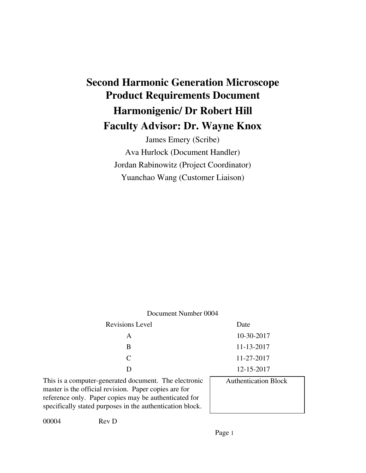# **Second Harmonic Generation Microscope Product Requirements Document Harmonigenic/ Dr Robert Hill Faculty Advisor: Dr. Wayne Knox**

James Emery (Scribe) Ava Hurlock (Document Handler) Jordan Rabinowitz (Project Coordinator) Yuanchao Wang (Customer Liaison)

| Document Number 0004                                                                                                                                                                                                                 |                             |  |  |
|--------------------------------------------------------------------------------------------------------------------------------------------------------------------------------------------------------------------------------------|-----------------------------|--|--|
| <b>Revisions Level</b>                                                                                                                                                                                                               | Date                        |  |  |
| A                                                                                                                                                                                                                                    | 10-30-2017                  |  |  |
| B                                                                                                                                                                                                                                    | 11-13-2017                  |  |  |
| $\mathcal{C}_{\mathcal{C}}$                                                                                                                                                                                                          | 11-27-2017                  |  |  |
| D                                                                                                                                                                                                                                    | 12-15-2017                  |  |  |
| This is a computer-generated document. The electronic<br>master is the official revision. Paper copies are for<br>reference only. Paper copies may be authenticated for<br>specifically stated purposes in the authentication block. | <b>Authentication Block</b> |  |  |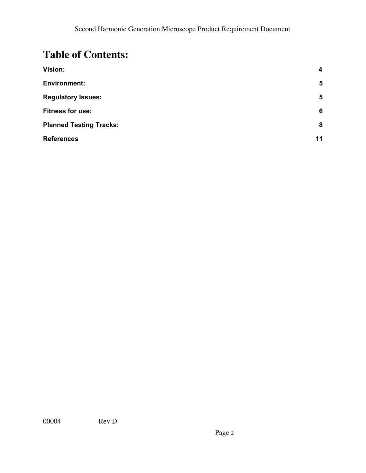## **Table of Contents:**

| Vision:                        | 4              |
|--------------------------------|----------------|
| <b>Environment:</b>            | $5\phantom{1}$ |
| <b>Regulatory Issues:</b>      | $5\phantom{1}$ |
| <b>Fitness for use:</b>        | 6              |
| <b>Planned Testing Tracks:</b> | 8              |
| <b>References</b>              | 11             |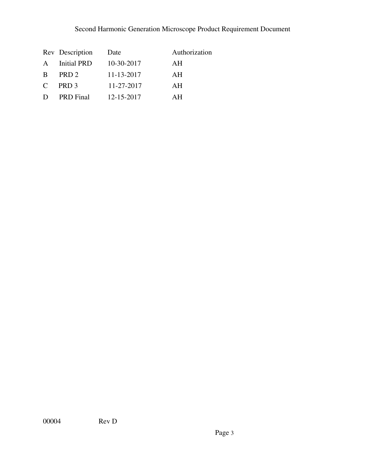## Second Harmonic Generation Microscope Product Requirement Document

|               | Rev Description    | Date       | Authorization |
|---------------|--------------------|------------|---------------|
| $\mathsf{A}$  | <b>Initial PRD</b> | 10-30-2017 | AH            |
| B             | PRD <sub>2</sub>   | 11-13-2017 | AH            |
| $\mathcal{C}$ | PRD <sub>3</sub>   | 11-27-2017 | AH            |
| D             | <b>PRD</b> Final   | 12-15-2017 | AН            |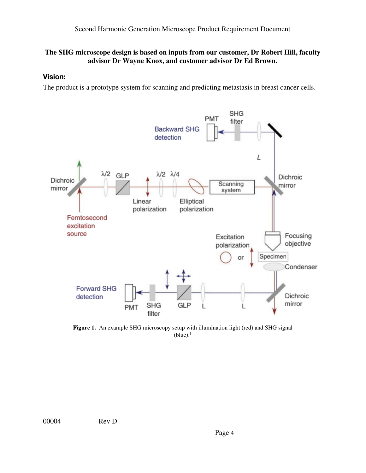## **The SHG microscope design is based on inputs from our customer, Dr Robert Hill, faculty advisor Dr Wayne Knox, and customer advisor Dr Ed Brown.**

## <span id="page-3-0"></span>**Vision:**

The product is a prototype system for scanning and predicting metastasis in breast cancer cells.



**Figure 1.** An example SHG microscopy setup with illumination light (red) and SHG signal  $(blue).<sup>1</sup>$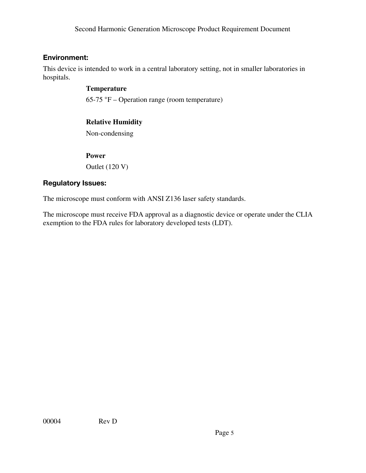## <span id="page-4-0"></span>**Environment:**

This device is intended to work in a central laboratory setting, not in smaller laboratories in hospitals.

## **Temperature**

65-75 °F – Operation range (room temperature)

## **Relative Humidity**

Non-condensing

#### **Power**

Outlet (120 V)

## **Regulatory Issues:**

The microscope must conform with ANSI Z136 laser safety standards.

The microscope must receive FDA approval as a diagnostic device or operate under the CLIA exemption to the FDA rules for laboratory developed tests (LDT).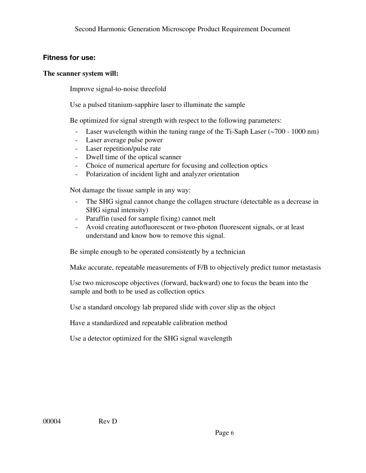## <span id="page-5-0"></span>**Fitness for use:**

#### **The scanner system will:**

Improve signal-to-noise threefold

Use a pulsed titanium-sapphire laser to illuminate the sample

Be optimized for signal strength with respect to the following parameters:

- Laser wavelength within the tuning range of the Ti-Saph Laser (~700 1000 nm)
- Laser average pulse power
- Laser repetition/pulse rate
- Dwell time of the optical scanner
- Choice of numerical aperture for focusing and collection optics
- Polarization of incident light and analyzer orientation

Not damage the tissue sample in any way:

- The SHG signal cannot change the collagen structure (detectable as a decrease in SHG signal intensity)
- Paraffin (used for sample fixing) cannot melt
- Avoid creating autofluorescent or two-photon fluorescent signals, or at least understand and know how to remove this signal.

Be simple enough to be operated consistently by a technician

Make accurate, repeatable measurements of F/B to objectively predict tumor metastasis

Use two microscope objectives (forward, backward) one to focus the beam into the sample and both to be used as collection optics

Use a standard oncology lab prepared slide with cover slip as the object

Have a standardized and repeatable calibration method

Use a detector optimized for the SHG signal wavelength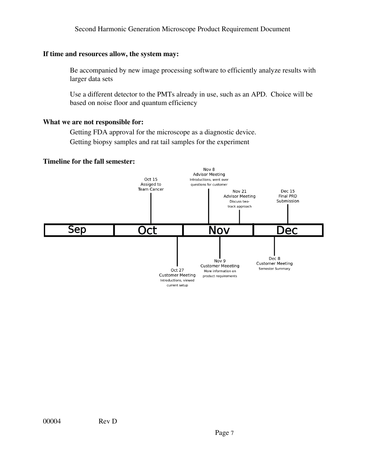#### Second Harmonic Generation Microscope Product Requirement Document

#### **If time and resources allow, the system may:**

Be accompanied by new image processing software to efficiently analyze results with larger data sets

Use a different detector to the PMTs already in use, such as an APD. Choice will be based on noise floor and quantum efficiency

#### **What we are not responsible for:**

Getting FDA approval for the microscope as a diagnostic device. Getting biopsy samples and rat tail samples for the experiment

#### **Timeline for the fall semester:**

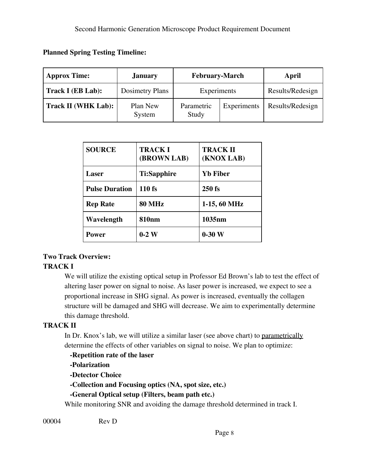| <b>Approx Time:</b>        | <b>January</b>     | <b>February-March</b> |             | April            |
|----------------------------|--------------------|-----------------------|-------------|------------------|
| Track I (EB Lab):          | Dosimetry Plans    | Experiments           |             | Results/Redesign |
| <b>Track II (WHK Lab):</b> | Plan New<br>System | Parametric<br>Study   | Experiments | Results/Redesign |

| <b>SOURCE</b>         | <b>TRACKI</b><br>(BROWN LAB) | <b>TRACK II</b><br>(KNOX LAB) |
|-----------------------|------------------------------|-------------------------------|
| Laser                 | Ti:Sapphire                  | <b>Yb Fiber</b>               |
| <b>Pulse Duration</b> | 110 fs                       | $250$ fs                      |
| <b>Rep Rate</b>       | <b>80 MHz</b>                | $1-15, 60 MHz$                |
| Wavelength            | <b>810nm</b>                 | 1035 <sub>nm</sub>            |
| Power                 | $0-2$ W                      | $0-30$ W                      |

## **Two Track Overview: TRACK I**

**Planned Spring Testing Timeline:**

We will utilize the existing optical setup in Professor Ed Brown's lab to test the effect of altering laser power on signal to noise. As laser power is increased, we expect to see a proportional increase in SHG signal. As power is increased, eventually the collagen structure will be damaged and SHG will decrease. We aim to experimentally determine this damage threshold.

## **TRACK II**

In Dr. Knox's lab, we will utilize a similar laser (see above chart) to parametrically determine the effects of other variables on signal to noise. We plan to optimize:

**-Repetition rate of the laser -Polarization -Detector Choice -Collection and Focusing optics (NA, spot size, etc.) -General Optical setup (Filters, beam path etc.)** While monitoring SNR and avoiding the damage threshold determined in track I.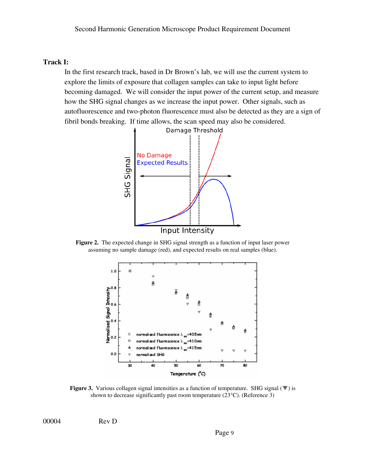#### **Track I:**

In the first research track, based in Dr Brown's lab, we will use the current system to explore the limits of exposure that collagen samples can take to input light before becoming damaged. We will consider the input power of the current setup, and measure how the SHG signal changes as we increase the input power. Other signals, such as autofluorescence and two-photon fluorescence must also be detected as they are a sign of fibril bonds breaking. If time allows, the scan speed may also be considered.



**Figure 2.** The expected change in SHG signal strength as a function of input laser power assuming no sample damage (red), and expected results on real samples (blue).



**Figure 3.** Various collagen signal intensities as a function of temperature. SHG signal (▼) is shown to decrease significantly past room temperature (23°C). (Reference 3)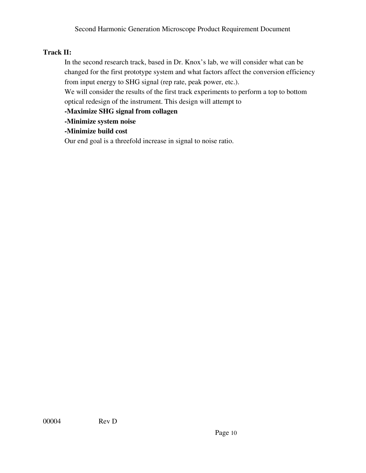## **Track II:**

In the second research track, based in Dr. Knox's lab, we will consider what can be changed for the first prototype system and what factors affect the conversion efficiency from input energy to SHG signal (rep rate, peak power, etc.).

We will consider the results of the first track experiments to perform a top to bottom optical redesign of the instrument. This design will attempt to

**-Maximize SHG signal from collagen**

**-Minimize system noise**

**-Minimize build cost**

Our end goal is a threefold increase in signal to noise ratio.